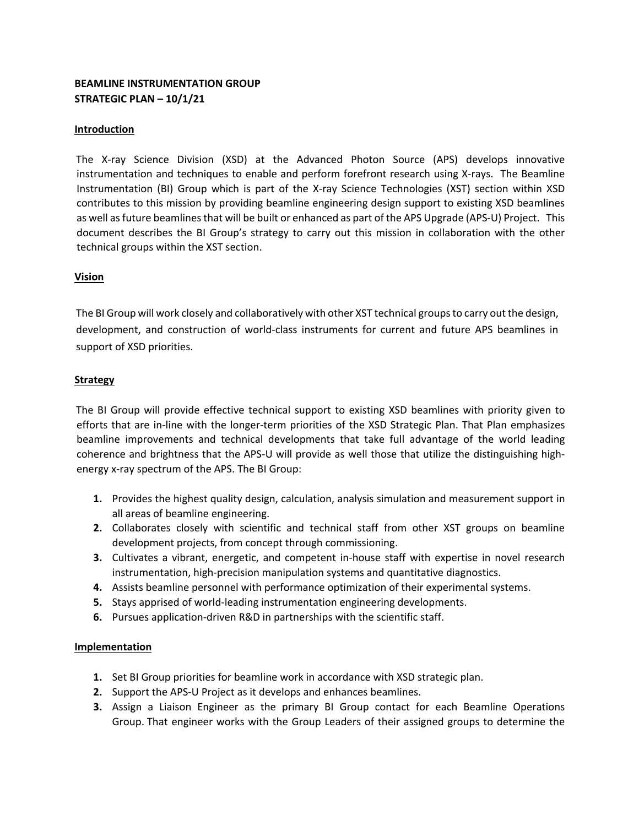## **BEAMLINE INSTRUMENTATION GROUP STRATEGIC PLAN – 10/1/21**

#### **Introduction**

The X-ray Science Division (XSD) at the Advanced Photon Source (APS) develops innovative instrumentation and techniques to enable and perform forefront research using X-rays. The Beamline Instrumentation (BI) Group which is part of the X-ray Science Technologies (XST) section within XSD contributes to this mission by providing beamline engineering design support to existing XSD beamlines as well as future beamlines that will be built or enhanced as part of the APS Upgrade (APS-U) Project. This document describes the BI Group's strategy to carry out this mission in collaboration with the other technical groups within the XST section.

#### **Vision**

The BI Group will work closely and collaboratively with other XST technical groups to carry out the design, development, and construction of world-class instruments for current and future APS beamlines in support of XSD priorities.

### **Strategy**

The BI Group will provide effective technical support to existing XSD beamlines with priority given to efforts that are in-line with the longer-term priorities of the XSD Strategic Plan. That Plan emphasizes beamline improvements and technical developments that take full advantage of the world leading coherence and brightness that the APS-U will provide as well those that utilize the distinguishing highenergy x-ray spectrum of the APS. The BI Group:

- **1.** Provides the highest quality design, calculation, analysis simulation and measurement support in all areas of beamline engineering.
- **2.** Collaborates closely with scientific and technical staff from other XST groups on beamline development projects, from concept through commissioning.
- **3.** Cultivates a vibrant, energetic, and competent in-house staff with expertise in novel research instrumentation, high-precision manipulation systems and quantitative diagnostics.
- **4.** Assists beamline personnel with performance optimization of their experimental systems.
- **5.** Stays apprised of world-leading instrumentation engineering developments.
- **6.** Pursues application-driven R&D in partnerships with the scientific staff.

#### **Implementation**

- **1.** Set BI Group priorities for beamline work in accordance with XSD strategic plan.
- **2.** Support the APS-U Project as it develops and enhances beamlines.
- **3.** Assign a Liaison Engineer as the primary BI Group contact for each Beamline Operations Group. That engineer works with the Group Leaders of their assigned groups to determine the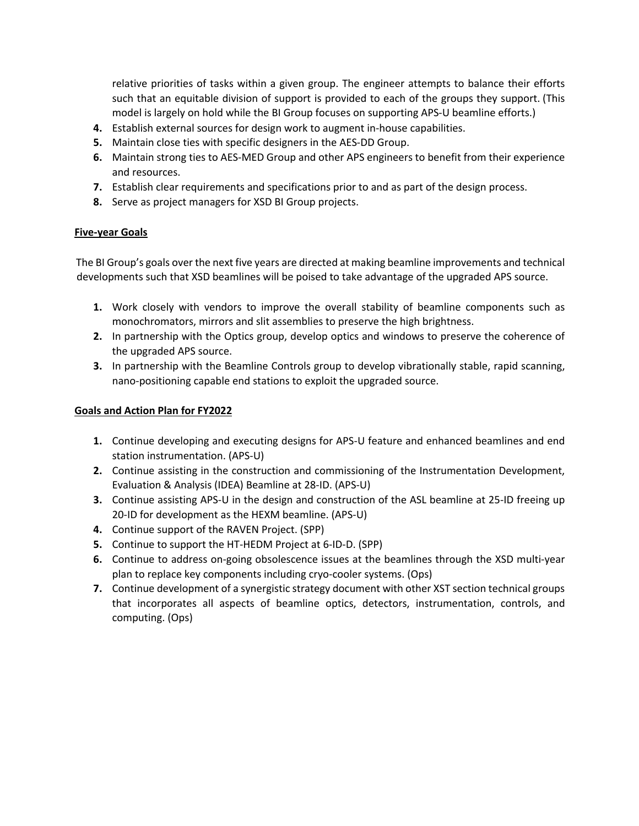relative priorities of tasks within a given group. The engineer attempts to balance their efforts such that an equitable division of support is provided to each of the groups they support. (This model is largely on hold while the BI Group focuses on supporting APS-U beamline efforts.)

- **4.** Establish external sources for design work to augment in-house capabilities.
- **5.** Maintain close ties with specific designers in the AES-DD Group.
- **6.** Maintain strong ties to AES-MED Group and other APS engineers to benefit from their experience and resources.
- **7.** Establish clear requirements and specifications prior to and as part of the design process.
- **8.** Serve as project managers for XSD BI Group projects.

#### **Five-year Goals**

The BI Group's goals over the next five years are directed at making beamline improvements and technical developments such that XSD beamlines will be poised to take advantage of the upgraded APS source.

- **1.** Work closely with vendors to improve the overall stability of beamline components such as monochromators, mirrors and slit assemblies to preserve the high brightness.
- **2.** In partnership with the Optics group, develop optics and windows to preserve the coherence of the upgraded APS source.
- **3.** In partnership with the Beamline Controls group to develop vibrationally stable, rapid scanning, nano-positioning capable end stations to exploit the upgraded source.

#### **Goals and Action Plan for FY2022**

- **1.** Continue developing and executing designs for APS-U feature and enhanced beamlines and end station instrumentation. (APS-U)
- **2.** Continue assisting in the construction and commissioning of the Instrumentation Development, Evaluation & Analysis (IDEA) Beamline at 28-ID. (APS-U)
- **3.** Continue assisting APS-U in the design and construction of the ASL beamline at 25-ID freeing up 20-ID for development as the HEXM beamline. (APS-U)
- **4.** Continue support of the RAVEN Project. (SPP)
- **5.** Continue to support the HT-HEDM Project at 6-ID-D. (SPP)
- **6.** Continue to address on-going obsolescence issues at the beamlines through the XSD multi-year plan to replace key components including cryo-cooler systems. (Ops)
- **7.** Continue development of a synergistic strategy document with other XST section technical groups that incorporates all aspects of beamline optics, detectors, instrumentation, controls, and computing. (Ops)